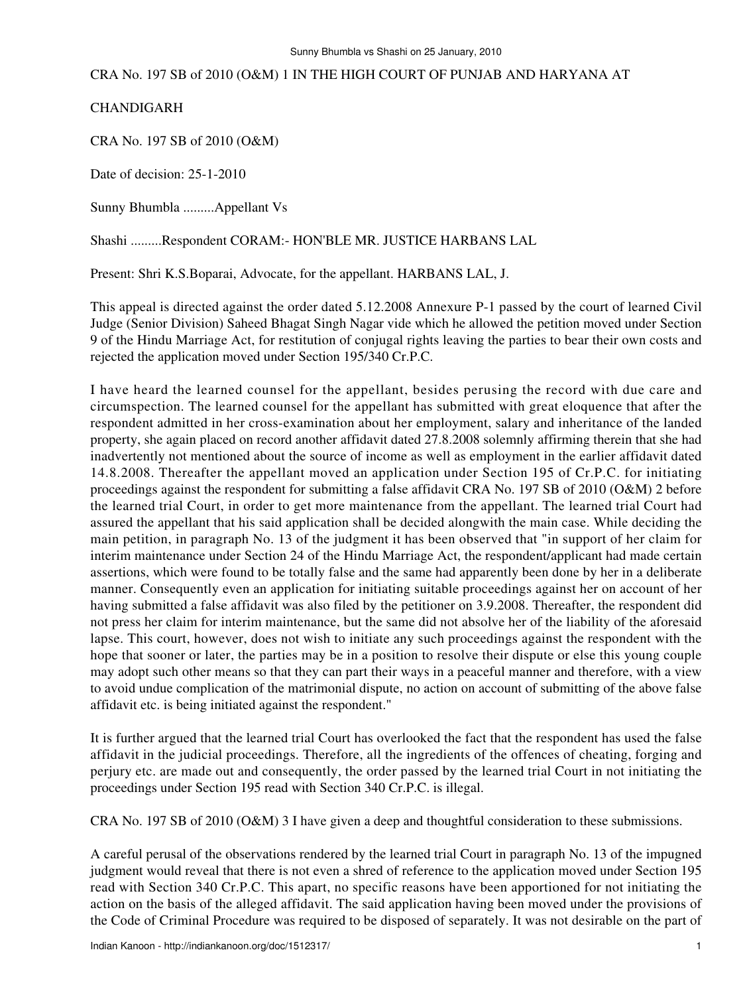CRA No. 197 SB of 2010 (O&M) 1 IN THE HIGH COURT OF PUNJAB AND HARYANA AT

CHANDIGARH

CRA No. 197 SB of 2010 (O&M)

Date of decision: 25-1-2010

Sunny Bhumbla .........Appellant Vs

Shashi .........Respondent CORAM:- HON'BLE MR. JUSTICE HARBANS LAL

Present: Shri K.S.Boparai, Advocate, for the appellant. HARBANS LAL, J.

This appeal is directed against the order dated 5.12.2008 Annexure P-1 passed by the court of learned Civil Judge (Senior Division) Saheed Bhagat Singh Nagar vide which he allowed the petition moved under Section 9 of the Hindu Marriage Act, for restitution of conjugal rights leaving the parties to bear their own costs and rejected the application moved under Section 195/340 Cr.P.C.

I have heard the learned counsel for the appellant, besides perusing the record with due care and circumspection. The learned counsel for the appellant has submitted with great eloquence that after the respondent admitted in her cross-examination about her employment, salary and inheritance of the landed property, she again placed on record another affidavit dated 27.8.2008 solemnly affirming therein that she had inadvertently not mentioned about the source of income as well as employment in the earlier affidavit dated 14.8.2008. Thereafter the appellant moved an application under Section 195 of Cr.P.C. for initiating proceedings against the respondent for submitting a false affidavit CRA No. 197 SB of 2010 (O&M) 2 before the learned trial Court, in order to get more maintenance from the appellant. The learned trial Court had assured the appellant that his said application shall be decided alongwith the main case. While deciding the main petition, in paragraph No. 13 of the judgment it has been observed that "in support of her claim for interim maintenance under Section 24 of the Hindu Marriage Act, the respondent/applicant had made certain assertions, which were found to be totally false and the same had apparently been done by her in a deliberate manner. Consequently even an application for initiating suitable proceedings against her on account of her having submitted a false affidavit was also filed by the petitioner on 3.9.2008. Thereafter, the respondent did not press her claim for interim maintenance, but the same did not absolve her of the liability of the aforesaid lapse. This court, however, does not wish to initiate any such proceedings against the respondent with the hope that sooner or later, the parties may be in a position to resolve their dispute or else this young couple may adopt such other means so that they can part their ways in a peaceful manner and therefore, with a view to avoid undue complication of the matrimonial dispute, no action on account of submitting of the above false affidavit etc. is being initiated against the respondent."

It is further argued that the learned trial Court has overlooked the fact that the respondent has used the false affidavit in the judicial proceedings. Therefore, all the ingredients of the offences of cheating, forging and perjury etc. are made out and consequently, the order passed by the learned trial Court in not initiating the proceedings under Section 195 read with Section 340 Cr.P.C. is illegal.

CRA No. 197 SB of 2010 (O&M) 3 I have given a deep and thoughtful consideration to these submissions.

A careful perusal of the observations rendered by the learned trial Court in paragraph No. 13 of the impugned judgment would reveal that there is not even a shred of reference to the application moved under Section 195 read with Section 340 Cr.P.C. This apart, no specific reasons have been apportioned for not initiating the action on the basis of the alleged affidavit. The said application having been moved under the provisions of the Code of Criminal Procedure was required to be disposed of separately. It was not desirable on the part of